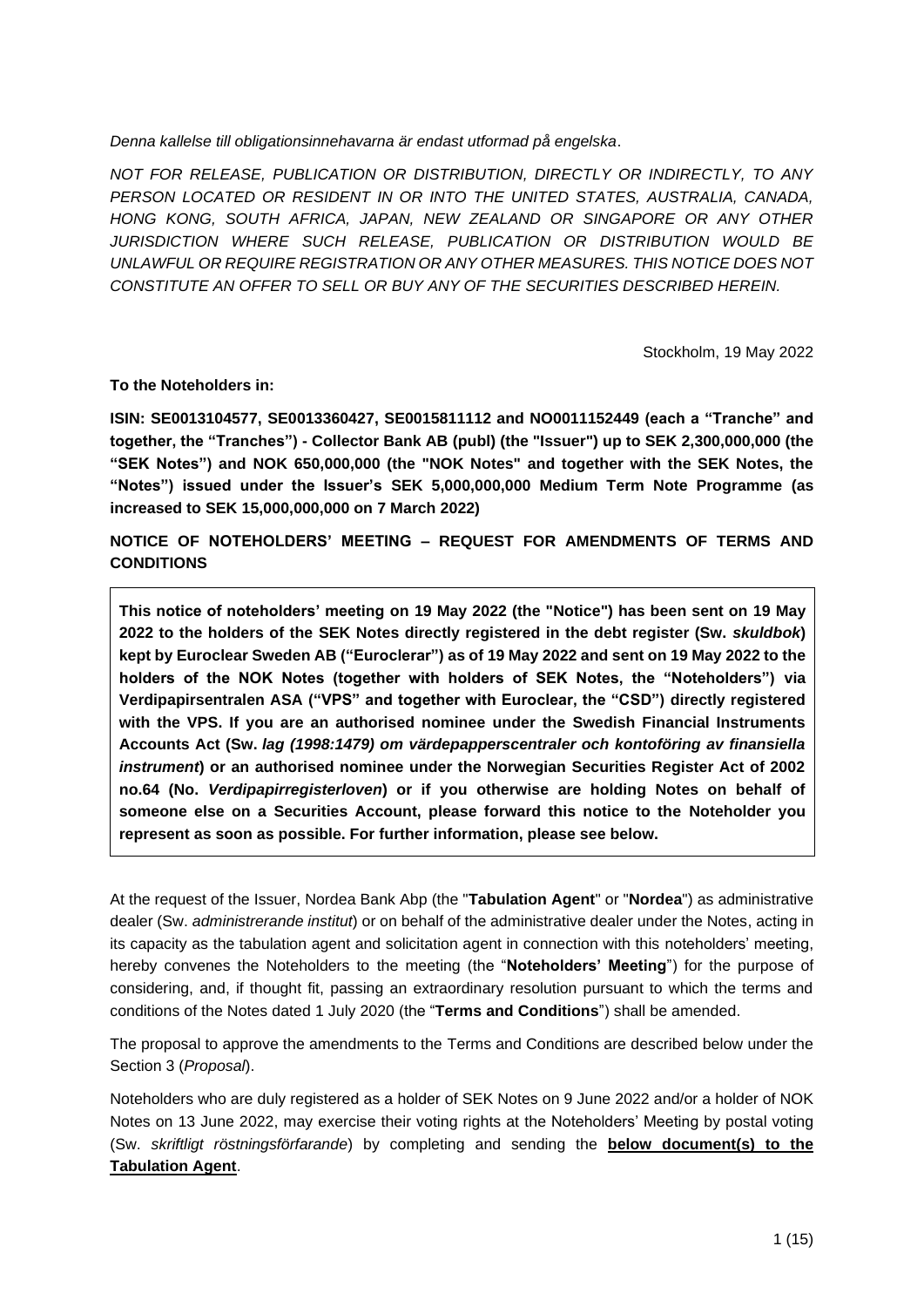*Denna kallelse till obligationsinnehavarna är endast utformad på engelska*.

*NOT FOR RELEASE, PUBLICATION OR DISTRIBUTION, DIRECTLY OR INDIRECTLY, TO ANY PERSON LOCATED OR RESIDENT IN OR INTO THE UNITED STATES, AUSTRALIA, CANADA, HONG KONG, SOUTH AFRICA, JAPAN, NEW ZEALAND OR SINGAPORE OR ANY OTHER JURISDICTION WHERE SUCH RELEASE, PUBLICATION OR DISTRIBUTION WOULD BE UNLAWFUL OR REQUIRE REGISTRATION OR ANY OTHER MEASURES. THIS NOTICE DOES NOT CONSTITUTE AN OFFER TO SELL OR BUY ANY OF THE SECURITIES DESCRIBED HEREIN.*

Stockholm, 19 May 2022

**To the Noteholders in:**

**ISIN: SE0013104577, SE0013360427, SE0015811112 and NO0011152449 (each a "Tranche" and together, the "Tranches") - Collector Bank AB (publ) (the "Issuer") up to SEK 2,300,000,000 (the "SEK Notes") and NOK 650,000,000 (the "NOK Notes" and together with the SEK Notes, the "Notes") issued under the Issuer's SEK 5,000,000,000 Medium Term Note Programme (as increased to SEK 15,000,000,000 on 7 March 2022)**

**NOTICE OF NOTEHOLDERS' MEETING – REQUEST FOR AMENDMENTS OF TERMS AND CONDITIONS**

**This notice of noteholders' meeting on 19 May 2022 (the "Notice") has been sent on 19 May 2022 to the holders of the SEK Notes directly registered in the debt register (Sw.** *skuldbok***) kept by Euroclear Sweden AB ("Euroclerar") as of 19 May 2022 and sent on 19 May 2022 to the holders of the NOK Notes (together with holders of SEK Notes, the "Noteholders") via Verdipapirsentralen ASA ("VPS" and together with Euroclear, the "CSD") directly registered with the VPS. If you are an authorised nominee under the Swedish Financial Instruments Accounts Act (Sw.** *lag (1998:1479) om värdepapperscentraler och kontoföring av finansiella instrument***) or an authorised nominee under the Norwegian Securities Register Act of 2002 no.64 (No.** *Verdipapirregisterloven***) or if you otherwise are holding Notes on behalf of someone else on a Securities Account, please forward this notice to the Noteholder you represent as soon as possible. For further information, please see below.**

At the request of the Issuer, Nordea Bank Abp (the "**Tabulation Agent**" or "**Nordea**") as administrative dealer (Sw. *administrerande institut*) or on behalf of the administrative dealer under the Notes, acting in its capacity as the tabulation agent and solicitation agent in connection with this noteholders' meeting, hereby convenes the Noteholders to the meeting (the "**Noteholders' Meeting**") for the purpose of considering, and, if thought fit, passing an extraordinary resolution pursuant to which the terms and conditions of the Notes dated 1 July 2020 (the "**Terms and Conditions**") shall be amended.

The proposal to approve the amendments to the Terms and Conditions are described below under the Section 3 (*Proposal*).

Noteholders who are duly registered as a holder of SEK Notes on 9 June 2022 and/or a holder of NOK Notes on 13 June 2022, may exercise their voting rights at the Noteholders' Meeting by postal voting (Sw. *skriftligt röstningsförfarande*) by completing and sending the **below document(s) to the Tabulation Agent**.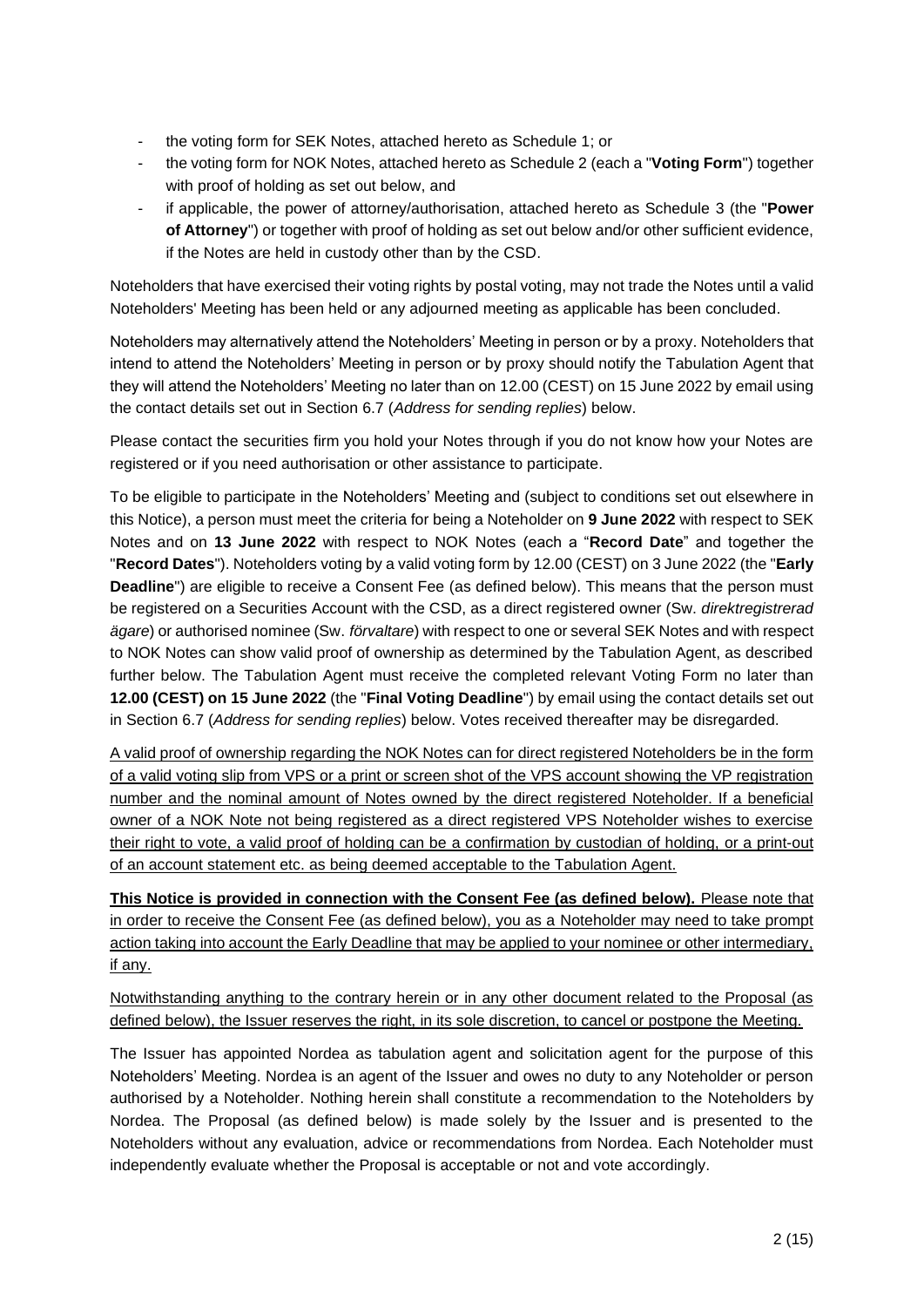- the voting form for SEK Notes, attached hereto as Schedule 1; or
- the voting form for NOK Notes, attached hereto as Schedule 2 (each a "**Voting Form**") together with proof of holding as set out below, and
- if applicable, the power of attorney/authorisation, attached hereto as Schedule 3 (the "**Power of Attorney**") or together with proof of holding as set out below and/or other sufficient evidence, if the Notes are held in custody other than by the CSD.

Noteholders that have exercised their voting rights by postal voting, may not trade the Notes until a valid Noteholders' Meeting has been held or any adjourned meeting as applicable has been concluded.

Noteholders may alternatively attend the Noteholders' Meeting in person or by a proxy. Noteholders that intend to attend the Noteholders' Meeting in person or by proxy should notify the Tabulation Agent that they will attend the Noteholders' Meeting no later than on 12.00 (CEST) on 15 June 2022 by email using the contact details set out in Section 6.7 (*Address for sending replies*) below.

Please contact the securities firm you hold your Notes through if you do not know how your Notes are registered or if you need authorisation or other assistance to participate.

To be eligible to participate in the Noteholders' Meeting and (subject to conditions set out elsewhere in this Notice), a person must meet the criteria for being a Noteholder on **9 June 2022** with respect to SEK Notes and on **13 June 2022** with respect to NOK Notes (each a "**Record Date**" and together the "**Record Dates**"). Noteholders voting by a valid voting form by 12.00 (CEST) on 3 June 2022 (the "**Early Deadline**") are eligible to receive a Consent Fee (as defined below). This means that the person must be registered on a Securities Account with the CSD, as a direct registered owner (Sw. *direktregistrerad ägare*) or authorised nominee (Sw. *förvaltare*) with respect to one or several SEK Notes and with respect to NOK Notes can show valid proof of ownership as determined by the Tabulation Agent, as described further below. The Tabulation Agent must receive the completed relevant Voting Form no later than **12.00 (CEST) on 15 June 2022** (the "**Final Voting Deadline**") by email using the contact details set out in Section 6.7 (*Address for sending replies*) below. Votes received thereafter may be disregarded.

A valid proof of ownership regarding the NOK Notes can for direct registered Noteholders be in the form of a valid voting slip from VPS or a print or screen shot of the VPS account showing the VP registration number and the nominal amount of Notes owned by the direct registered Noteholder. If a beneficial owner of a NOK Note not being registered as a direct registered VPS Noteholder wishes to exercise their right to vote, a valid proof of holding can be a confirmation by custodian of holding, or a print-out of an account statement etc. as being deemed acceptable to the Tabulation Agent.

**This Notice is provided in connection with the Consent Fee (as defined below).** Please note that in order to receive the Consent Fee (as defined below), you as a Noteholder may need to take prompt action taking into account the Early Deadline that may be applied to your nominee or other intermediary, if any.

Notwithstanding anything to the contrary herein or in any other document related to the Proposal (as defined below), the Issuer reserves the right, in its sole discretion, to cancel or postpone the Meeting.

The Issuer has appointed Nordea as tabulation agent and solicitation agent for the purpose of this Noteholders' Meeting. Nordea is an agent of the Issuer and owes no duty to any Noteholder or person authorised by a Noteholder. Nothing herein shall constitute a recommendation to the Noteholders by Nordea. The Proposal (as defined below) is made solely by the Issuer and is presented to the Noteholders without any evaluation, advice or recommendations from Nordea. Each Noteholder must independently evaluate whether the Proposal is acceptable or not and vote accordingly.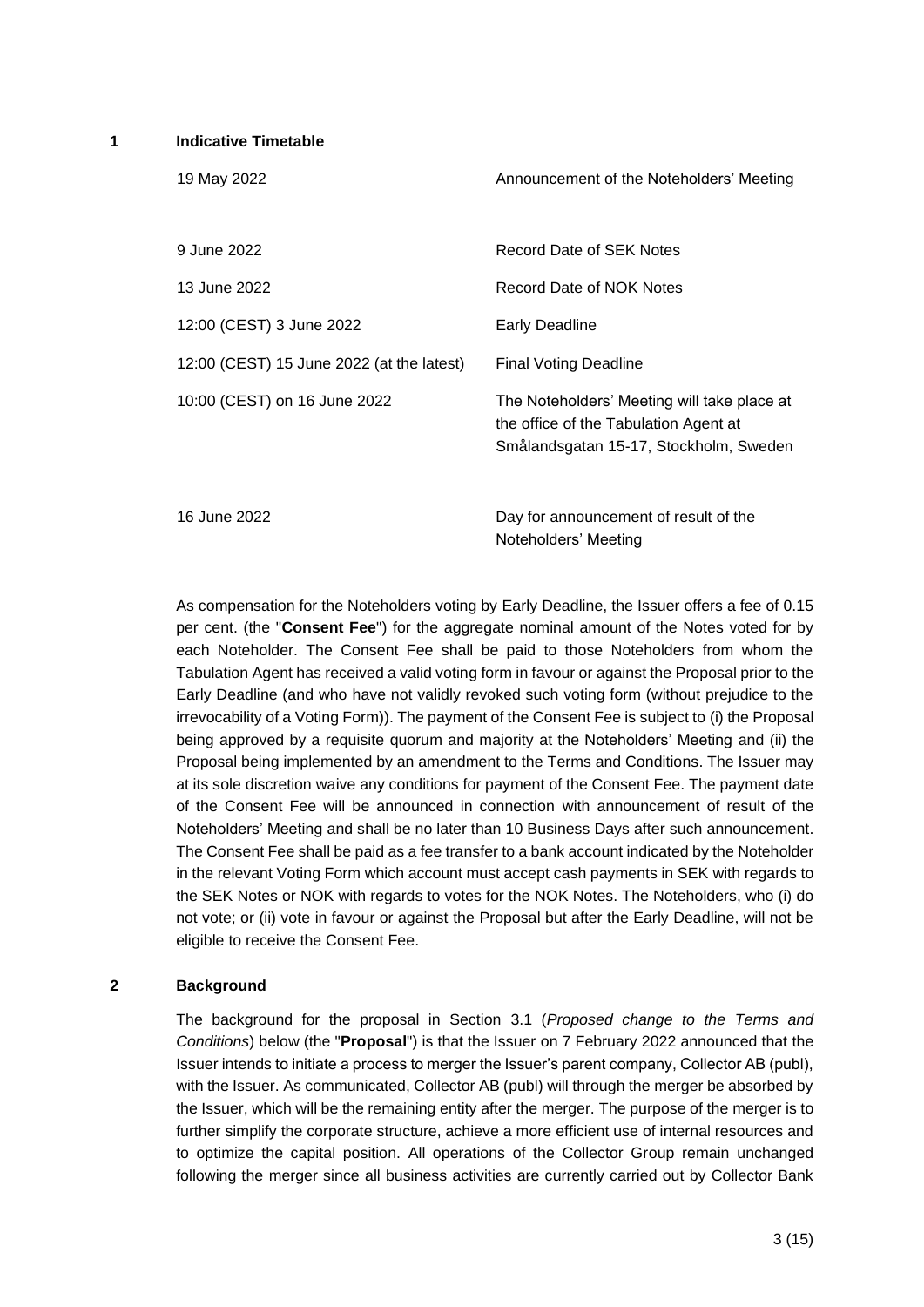**1 Indicative Timetable**

| 19 May 2022                               | Announcement of the Noteholders' Meeting                                                                                       |
|-------------------------------------------|--------------------------------------------------------------------------------------------------------------------------------|
| 9 June 2022                               | Record Date of SEK Notes                                                                                                       |
| 13 June 2022                              | Record Date of NOK Notes                                                                                                       |
| 12:00 (CEST) 3 June 2022                  | Early Deadline                                                                                                                 |
| 12:00 (CEST) 15 June 2022 (at the latest) | Final Voting Deadline                                                                                                          |
| 10:00 (CEST) on 16 June 2022              | The Noteholders' Meeting will take place at<br>the office of the Tabulation Agent at<br>Smålandsgatan 15-17, Stockholm, Sweden |
| 16 June 2022                              | Day for announcement of result of the<br>Noteholders' Meeting                                                                  |

As compensation for the Noteholders voting by Early Deadline, the Issuer offers a fee of 0.15 per cent. (the "**Consent Fee**") for the aggregate nominal amount of the Notes voted for by each Noteholder. The Consent Fee shall be paid to those Noteholders from whom the Tabulation Agent has received a valid voting form in favour or against the Proposal prior to the Early Deadline (and who have not validly revoked such voting form (without prejudice to the irrevocability of a Voting Form)). The payment of the Consent Fee is subject to (i) the Proposal being approved by a requisite quorum and majority at the Noteholders' Meeting and (ii) the Proposal being implemented by an amendment to the Terms and Conditions. The Issuer may at its sole discretion waive any conditions for payment of the Consent Fee. The payment date of the Consent Fee will be announced in connection with announcement of result of the Noteholders' Meeting and shall be no later than 10 Business Days after such announcement. The Consent Fee shall be paid as a fee transfer to a bank account indicated by the Noteholder in the relevant Voting Form which account must accept cash payments in SEK with regards to the SEK Notes or NOK with regards to votes for the NOK Notes. The Noteholders, who (i) do not vote; or (ii) vote in favour or against the Proposal but after the Early Deadline, will not be eligible to receive the Consent Fee.

#### **2 Background**

The background for the proposal in Section 3.1 (*Proposed change to the Terms and Conditions*) below (the "**Proposal**") is that the Issuer on 7 February 2022 announced that the Issuer intends to initiate a process to merger the Issuer's parent company, Collector AB (publ), with the Issuer. As communicated, Collector AB (publ) will through the merger be absorbed by the Issuer, which will be the remaining entity after the merger. The purpose of the merger is to further simplify the corporate structure, achieve a more efficient use of internal resources and to optimize the capital position. All operations of the Collector Group remain unchanged following the merger since all business activities are currently carried out by Collector Bank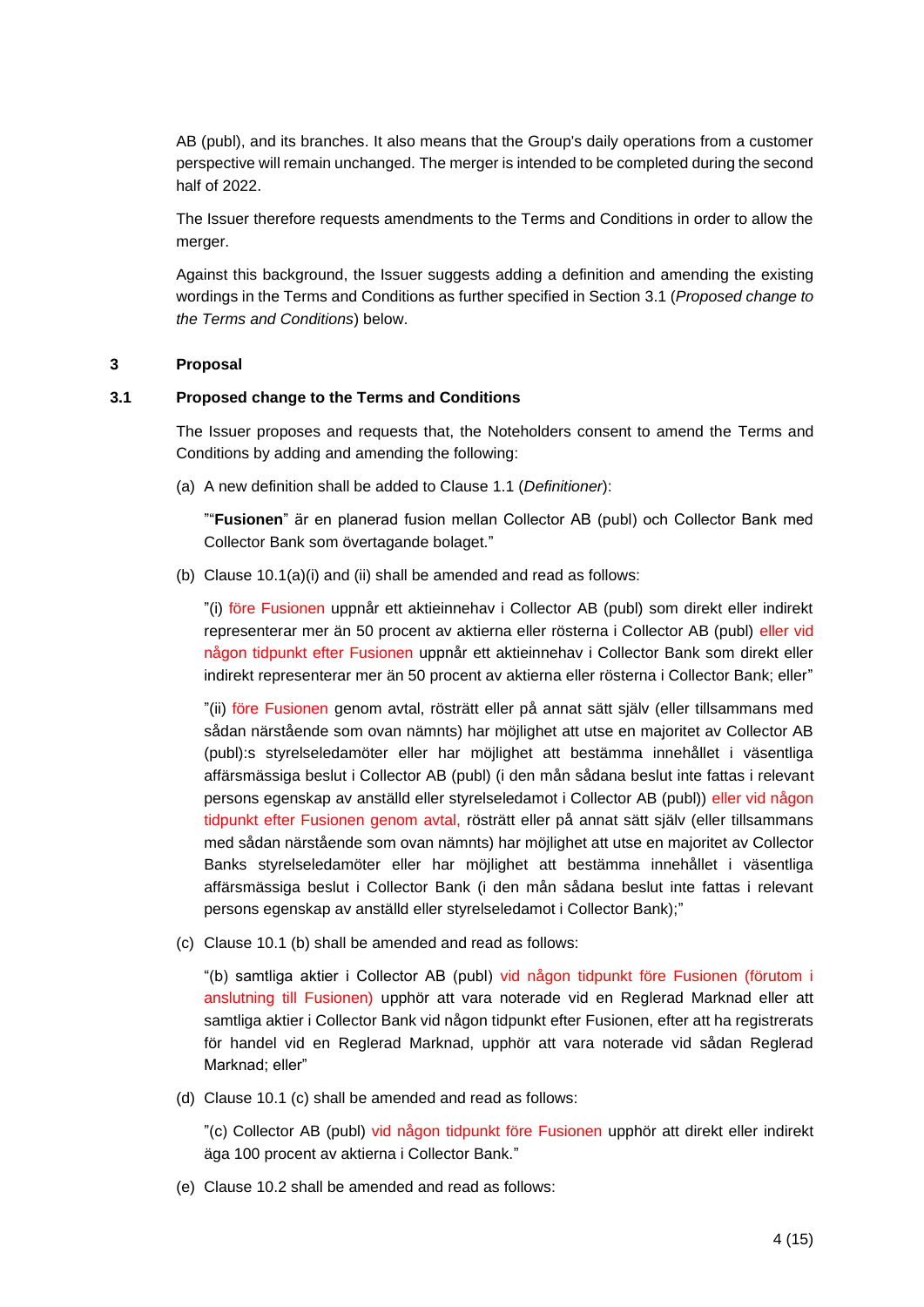AB (publ), and its branches. It also means that the Group's daily operations from a customer perspective will remain unchanged. The merger is intended to be completed during the second half of 2022.

The Issuer therefore requests amendments to the Terms and Conditions in order to allow the merger.

Against this background, the Issuer suggests adding a definition and amending the existing wordings in the Terms and Conditions as further specified in Section 3.1 (*Proposed change to the Terms and Conditions*) below.

## **3 Proposal**

### **3.1 Proposed change to the Terms and Conditions**

The Issuer proposes and requests that, the Noteholders consent to amend the Terms and Conditions by adding and amending the following:

(a) A new definition shall be added to Clause 1.1 (*Definitioner*):

""**Fusionen**" är en planerad fusion mellan Collector AB (publ) och Collector Bank med Collector Bank som övertagande bolaget."

(b) Clause 10.1(a)(i) and (ii) shall be amended and read as follows:

"(i) före Fusionen uppnår ett aktieinnehav i Collector AB (publ) som direkt eller indirekt representerar mer än 50 procent av aktierna eller rösterna i Collector AB (publ) eller vid någon tidpunkt efter Fusionen uppnår ett aktieinnehav i Collector Bank som direkt eller indirekt representerar mer än 50 procent av aktierna eller rösterna i Collector Bank; eller"

"(ii) före Fusionen genom avtal, rösträtt eller på annat sätt själv (eller tillsammans med sådan närstående som ovan nämnts) har möjlighet att utse en majoritet av Collector AB (publ):s styrelseledamöter eller har möjlighet att bestämma innehållet i väsentliga affärsmässiga beslut i Collector AB (publ) (i den mån sådana beslut inte fattas i relevant persons egenskap av anställd eller styrelseledamot i Collector AB (publ)) eller vid någon tidpunkt efter Fusionen genom avtal, rösträtt eller på annat sätt själv (eller tillsammans med sådan närstående som ovan nämnts) har möjlighet att utse en majoritet av Collector Banks styrelseledamöter eller har möjlighet att bestämma innehållet i väsentliga affärsmässiga beslut i Collector Bank (i den mån sådana beslut inte fattas i relevant persons egenskap av anställd eller styrelseledamot i Collector Bank);"

(c) Clause 10.1 (b) shall be amended and read as follows:

"(b) samtliga aktier i Collector AB (publ) vid någon tidpunkt före Fusionen (förutom i anslutning till Fusionen) upphör att vara noterade vid en Reglerad Marknad eller att samtliga aktier i Collector Bank vid någon tidpunkt efter Fusionen, efter att ha registrerats för handel vid en Reglerad Marknad, upphör att vara noterade vid sådan Reglerad Marknad; eller"

(d) Clause 10.1 (c) shall be amended and read as follows:

"(c) Collector AB (publ) vid någon tidpunkt före Fusionen upphör att direkt eller indirekt äga 100 procent av aktierna i Collector Bank."

(e) Clause 10.2 shall be amended and read as follows: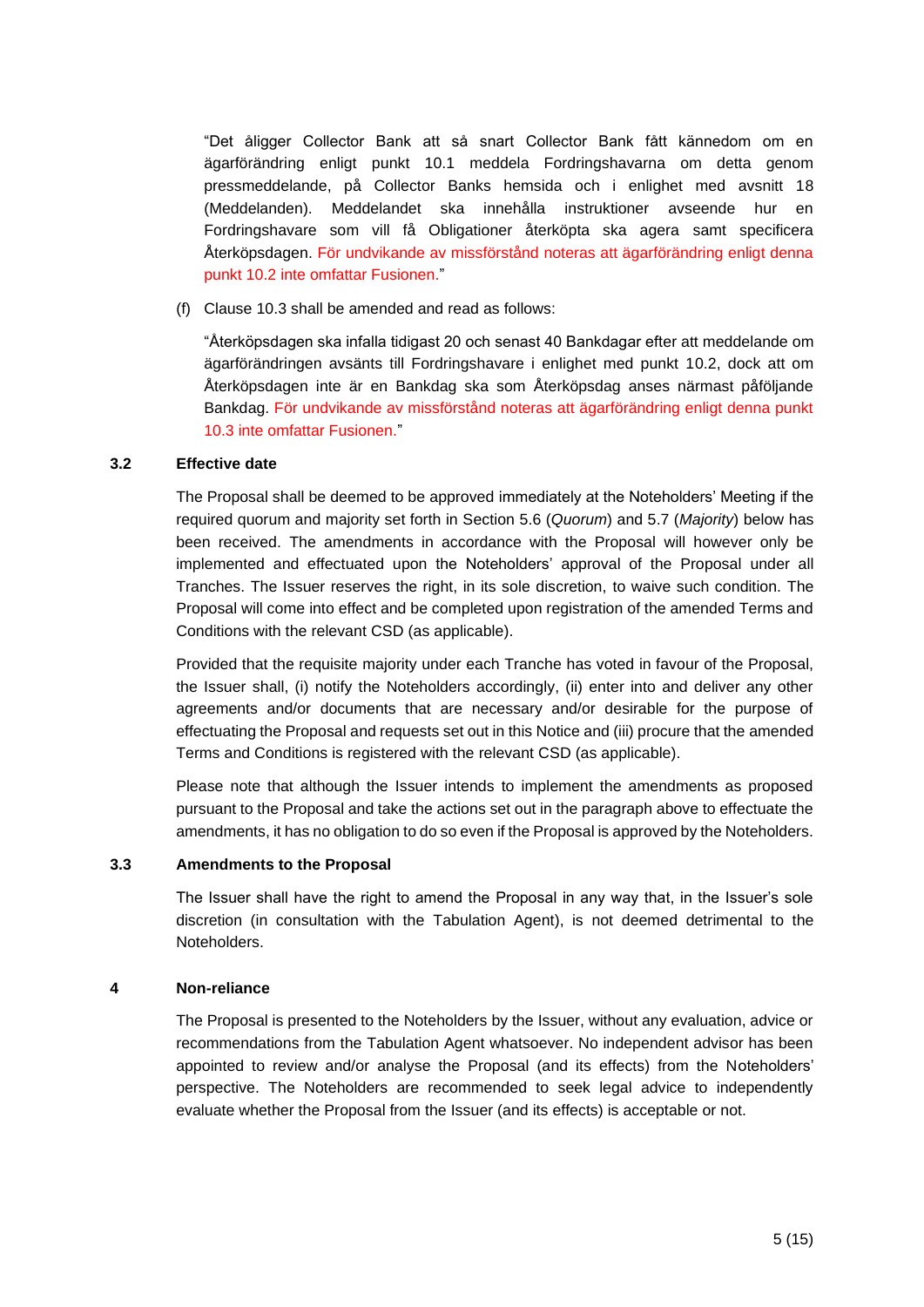"Det åligger Collector Bank att så snart Collector Bank fått kännedom om en ägarförändring enligt punkt 10.1 meddela Fordringshavarna om detta genom pressmeddelande, på Collector Banks hemsida och i enlighet med avsnitt 18 (Meddelanden). Meddelandet ska innehålla instruktioner avseende hur en Fordringshavare som vill få Obligationer återköpta ska agera samt specificera Återköpsdagen. För undvikande av missförstånd noteras att ägarförändring enligt denna punkt 10.2 inte omfattar Fusionen."

(f) Clause 10.3 shall be amended and read as follows:

"Återköpsdagen ska infalla tidigast 20 och senast 40 Bankdagar efter att meddelande om ägarförändringen avsänts till Fordringshavare i enlighet med punkt 10.2, dock att om Återköpsdagen inte är en Bankdag ska som Återköpsdag anses närmast påföljande Bankdag. För undvikande av missförstånd noteras att ägarförändring enligt denna punkt 10.3 inte omfattar Fusionen."

### **3.2 Effective date**

The Proposal shall be deemed to be approved immediately at the Noteholders' Meeting if the required quorum and majority set forth in Section 5.6 (*Quorum*) and 5.7 (*Majority*) below has been received. The amendments in accordance with the Proposal will however only be implemented and effectuated upon the Noteholders' approval of the Proposal under all Tranches. The Issuer reserves the right, in its sole discretion, to waive such condition. The Proposal will come into effect and be completed upon registration of the amended Terms and Conditions with the relevant CSD (as applicable).

Provided that the requisite majority under each Tranche has voted in favour of the Proposal, the Issuer shall, (i) notify the Noteholders accordingly, (ii) enter into and deliver any other agreements and/or documents that are necessary and/or desirable for the purpose of effectuating the Proposal and requests set out in this Notice and (iii) procure that the amended Terms and Conditions is registered with the relevant CSD (as applicable).

Please note that although the Issuer intends to implement the amendments as proposed pursuant to the Proposal and take the actions set out in the paragraph above to effectuate the amendments, it has no obligation to do so even if the Proposal is approved by the Noteholders.

### **3.3 Amendments to the Proposal**

The Issuer shall have the right to amend the Proposal in any way that, in the Issuer's sole discretion (in consultation with the Tabulation Agent), is not deemed detrimental to the Noteholders.

## **4 Non-reliance**

The Proposal is presented to the Noteholders by the Issuer, without any evaluation, advice or recommendations from the Tabulation Agent whatsoever. No independent advisor has been appointed to review and/or analyse the Proposal (and its effects) from the Noteholders' perspective. The Noteholders are recommended to seek legal advice to independently evaluate whether the Proposal from the Issuer (and its effects) is acceptable or not.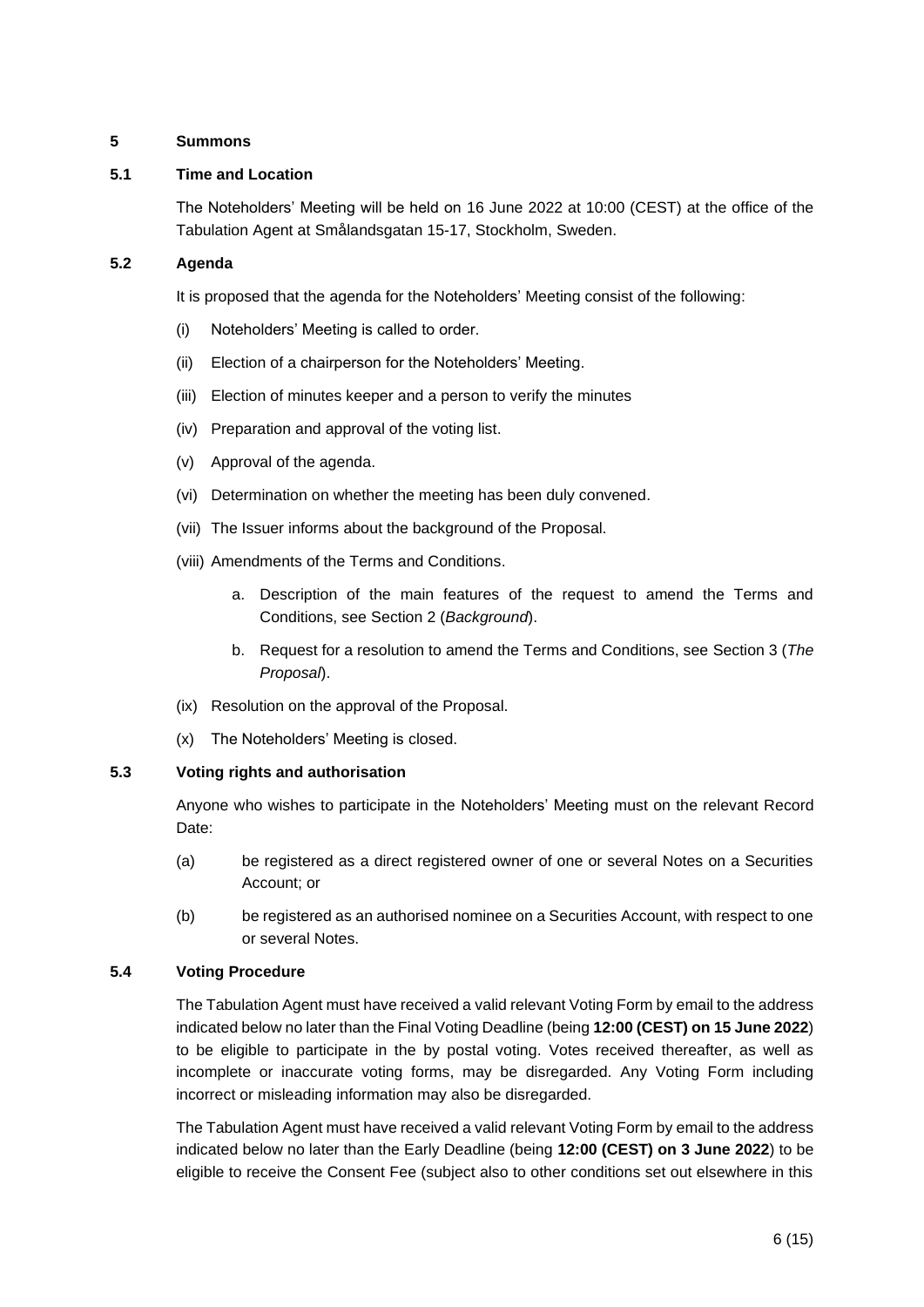# **5 Summons**

# **5.1 Time and Location**

The Noteholders' Meeting will be held on 16 June 2022 at 10:00 (CEST) at the office of the Tabulation Agent at Smålandsgatan 15-17, Stockholm, Sweden.

# **5.2 Agenda**

It is proposed that the agenda for the Noteholders' Meeting consist of the following:

- (i) Noteholders' Meeting is called to order.
- (ii) Election of a chairperson for the Noteholders' Meeting.
- (iii) Election of minutes keeper and a person to verify the minutes
- (iv) Preparation and approval of the voting list.
- (v) Approval of the agenda.
- (vi) Determination on whether the meeting has been duly convened.
- (vii) The Issuer informs about the background of the Proposal.
- (viii) Amendments of the Terms and Conditions.
	- a. Description of the main features of the request to amend the Terms and Conditions, see Section 2 (*Background*).
	- b. Request for a resolution to amend the Terms and Conditions, see Section 3 (*The Proposal*).
- (ix) Resolution on the approval of the Proposal.
- (x) The Noteholders' Meeting is closed.

# **5.3 Voting rights and authorisation**

Anyone who wishes to participate in the Noteholders' Meeting must on the relevant Record Date:

- (a) be registered as a direct registered owner of one or several Notes on a Securities Account; or
- (b) be registered as an authorised nominee on a Securities Account, with respect to one or several Notes.

## **5.4 Voting Procedure**

The Tabulation Agent must have received a valid relevant Voting Form by email to the address indicated below no later than the Final Voting Deadline (being **12:00 (CEST) on 15 June 2022**) to be eligible to participate in the by postal voting. Votes received thereafter, as well as incomplete or inaccurate voting forms, may be disregarded. Any Voting Form including incorrect or misleading information may also be disregarded.

The Tabulation Agent must have received a valid relevant Voting Form by email to the address indicated below no later than the Early Deadline (being **12:00 (CEST) on 3 June 2022**) to be eligible to receive the Consent Fee (subject also to other conditions set out elsewhere in this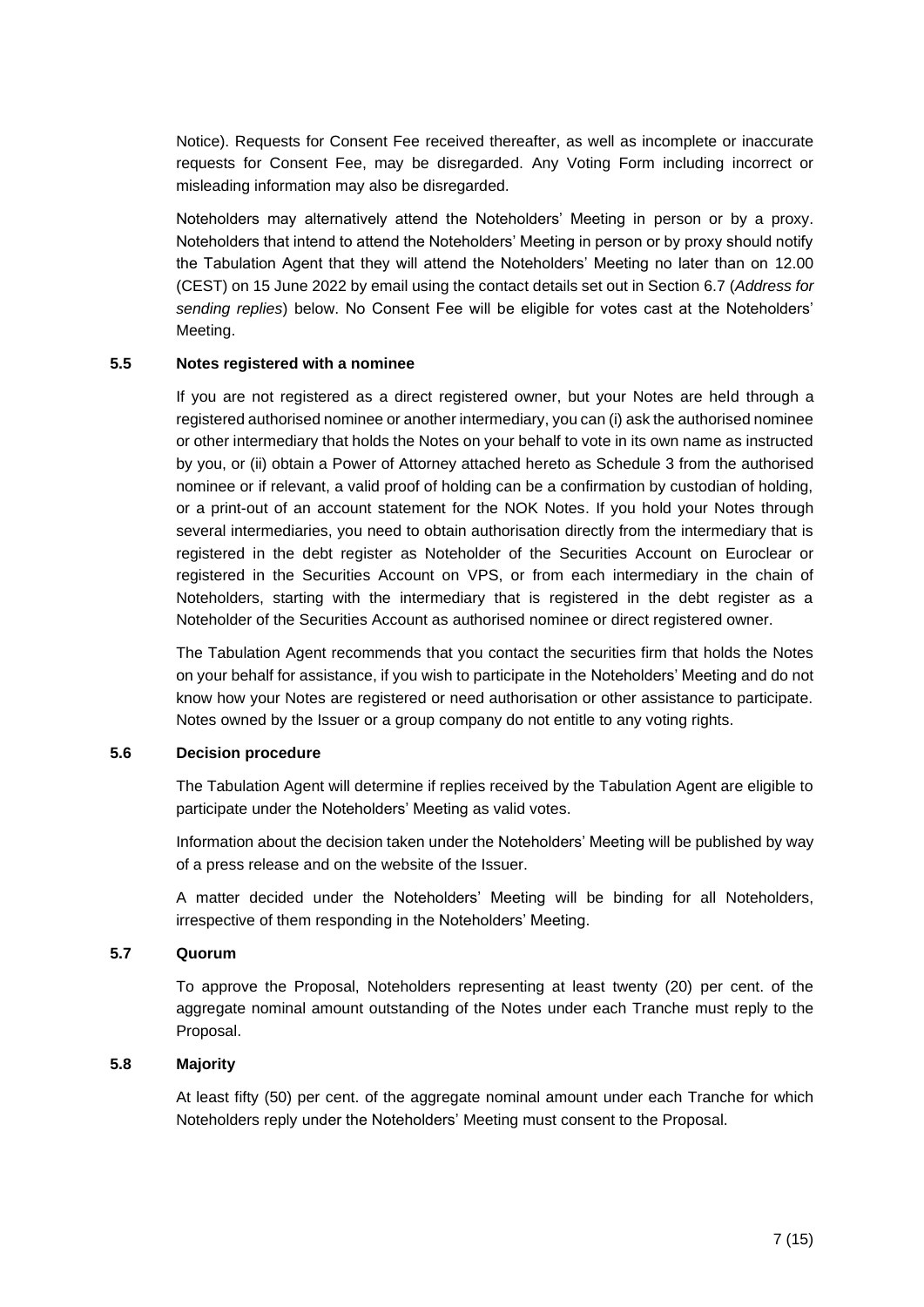Notice). Requests for Consent Fee received thereafter, as well as incomplete or inaccurate requests for Consent Fee, may be disregarded. Any Voting Form including incorrect or misleading information may also be disregarded.

Noteholders may alternatively attend the Noteholders' Meeting in person or by a proxy. Noteholders that intend to attend the Noteholders' Meeting in person or by proxy should notify the Tabulation Agent that they will attend the Noteholders' Meeting no later than on 12.00 (CEST) on 15 June 2022 by email using the contact details set out in Section 6.7 (*Address for sending replies*) below. No Consent Fee will be eligible for votes cast at the Noteholders' Meeting.

### **5.5 Notes registered with a nominee**

If you are not registered as a direct registered owner, but your Notes are held through a registered authorised nominee or another intermediary, you can (i) ask the authorised nominee or other intermediary that holds the Notes on your behalf to vote in its own name as instructed by you, or (ii) obtain a Power of Attorney attached hereto as Schedule 3 from the authorised nominee or if relevant, a valid proof of holding can be a confirmation by custodian of holding, or a print-out of an account statement for the NOK Notes. If you hold your Notes through several intermediaries, you need to obtain authorisation directly from the intermediary that is registered in the debt register as Noteholder of the Securities Account on Euroclear or registered in the Securities Account on VPS, or from each intermediary in the chain of Noteholders, starting with the intermediary that is registered in the debt register as a Noteholder of the Securities Account as authorised nominee or direct registered owner.

The Tabulation Agent recommends that you contact the securities firm that holds the Notes on your behalf for assistance, if you wish to participate in the Noteholders' Meeting and do not know how your Notes are registered or need authorisation or other assistance to participate. Notes owned by the Issuer or a group company do not entitle to any voting rights.

#### **5.6 Decision procedure**

The Tabulation Agent will determine if replies received by the Tabulation Agent are eligible to participate under the Noteholders' Meeting as valid votes.

Information about the decision taken under the Noteholders' Meeting will be published by way of a press release and on the website of the Issuer.

A matter decided under the Noteholders' Meeting will be binding for all Noteholders, irrespective of them responding in the Noteholders' Meeting.

#### **5.7 Quorum**

To approve the Proposal, Noteholders representing at least twenty (20) per cent. of the aggregate nominal amount outstanding of the Notes under each Tranche must reply to the Proposal.

# **5.8 Majority**

At least fifty (50) per cent. of the aggregate nominal amount under each Tranche for which Noteholders reply under the Noteholders' Meeting must consent to the Proposal.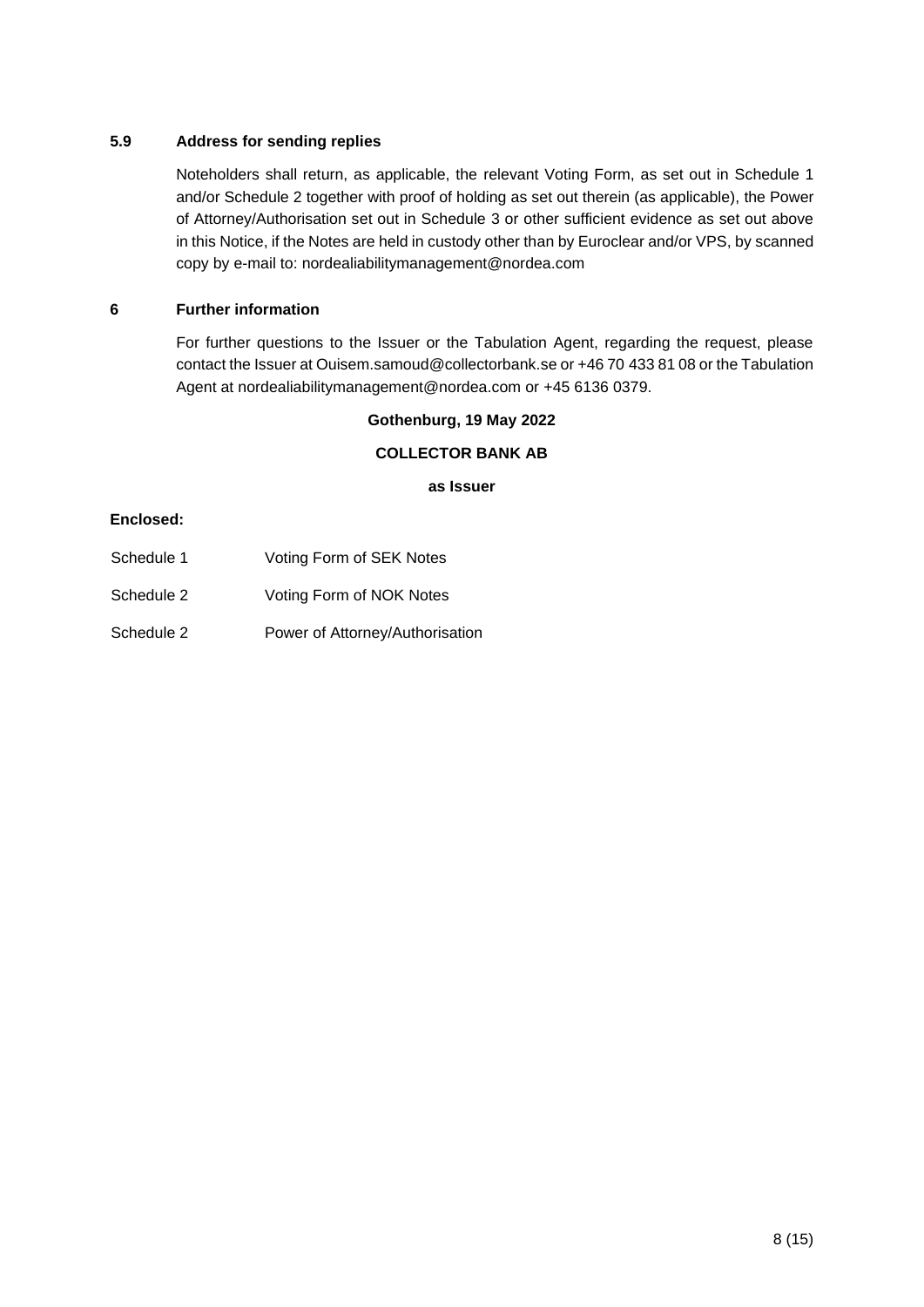# **5.9 Address for sending replies**

Noteholders shall return, as applicable, the relevant Voting Form, as set out in Schedule 1 and/or Schedule 2 together with proof of holding as set out therein (as applicable), the Power of Attorney/Authorisation set out in Schedule 3 or other sufficient evidence as set out above in this Notice, if the Notes are held in custody other than by Euroclear and/or VPS, by scanned copy by e-mail to: nordealiabilitymanagement@nordea.com

# **6 Further information**

For further questions to the Issuer or the Tabulation Agent, regarding the request, please contact the Issuer at Ouisem.samoud@collectorbank.se or +46 70 433 81 08 or the Tabulation Agent at nordealiabilitymanagement@nordea.com or +45 6136 0379.

## **Gothenburg, 19 May 2022**

### **COLLECTOR BANK AB**

**as Issuer**

## **Enclosed:**

- Schedule 1 Voting Form of SEK Notes
- Schedule 2 Voting Form of NOK Notes
- Schedule 2 Power of Attorney/Authorisation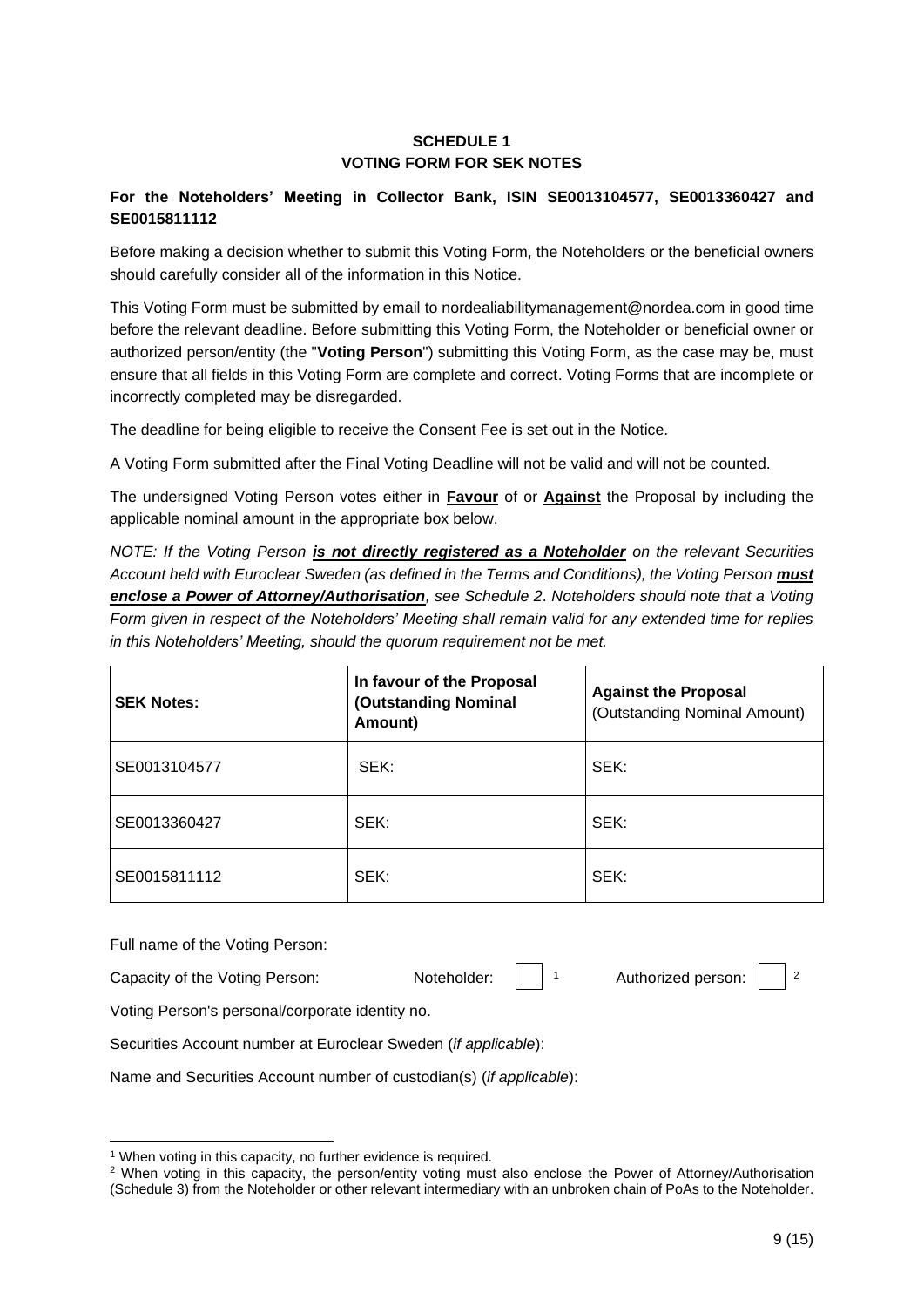# **SCHEDULE 1 VOTING FORM FOR SEK NOTES**

# **For the Noteholders' Meeting in Collector Bank, ISIN SE0013104577, SE0013360427 and SE0015811112**

Before making a decision whether to submit this Voting Form, the Noteholders or the beneficial owners should carefully consider all of the information in this Notice.

This Voting Form must be submitted by email to nordealiabilitymanagement@nordea.com in good time before the relevant deadline. Before submitting this Voting Form, the Noteholder or beneficial owner or authorized person/entity (the "**Voting Person**") submitting this Voting Form, as the case may be, must ensure that all fields in this Voting Form are complete and correct. Voting Forms that are incomplete or incorrectly completed may be disregarded.

The deadline for being eligible to receive the Consent Fee is set out in the Notice.

A Voting Form submitted after the Final Voting Deadline will not be valid and will not be counted.

The undersigned Voting Person votes either in **Favour** of or **Against** the Proposal by including the applicable nominal amount in the appropriate box below.

*NOTE: If the Voting Person is not directly registered as a Noteholder on the relevant Securities Account held with Euroclear Sweden (as defined in the Terms and Conditions), the Voting Person must enclose a Power of Attorney/Authorisation, see Schedule 2*. *Noteholders should note that a Voting Form given in respect of the Noteholders' Meeting shall remain valid for any extended time for replies in this Noteholders' Meeting, should the quorum requirement not be met.*

| <b>SEK Notes:</b> | In favour of the Proposal<br>(Outstanding Nominal<br>Amount) | <b>Against the Proposal</b><br>(Outstanding Nominal Amount) |
|-------------------|--------------------------------------------------------------|-------------------------------------------------------------|
| SE0013104577      | SEK:                                                         | SEK:                                                        |
| SE0013360427      | SEK:                                                         | SEK:                                                        |
| SE0015811112      | SEK:                                                         | SEK:                                                        |

Full name of the Voting Person:

| Capacity of the Voting Person: | Noteholder: |  | Authorized person: |  |  |
|--------------------------------|-------------|--|--------------------|--|--|
|--------------------------------|-------------|--|--------------------|--|--|

Voting Person's personal/corporate identity no.

Securities Account number at Euroclear Sweden (*if applicable*):

Name and Securities Account number of custodian(s) (*if applicable*):

<sup>1</sup> When voting in this capacity, no further evidence is required.

<sup>2</sup> When voting in this capacity, the person/entity voting must also enclose the Power of Attorney/Authorisation

<sup>(</sup>Schedule 3) from the Noteholder or other relevant intermediary with an unbroken chain of PoAs to the Noteholder.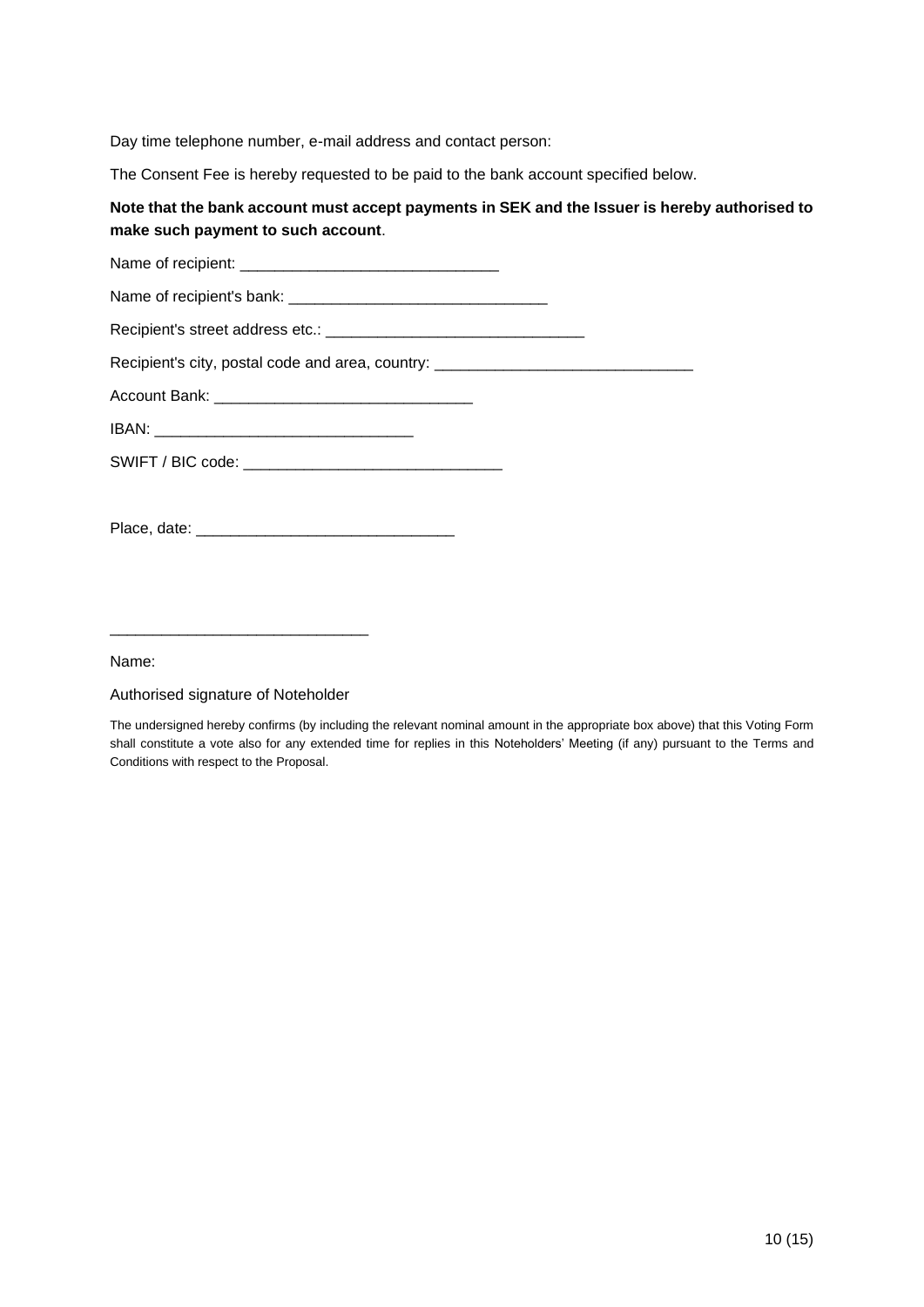Day time telephone number, e-mail address and contact person:

The Consent Fee is hereby requested to be paid to the bank account specified below.

# **Note that the bank account must accept payments in SEK and the Issuer is hereby authorised to make such payment to such account**.

| Recipient's city, postal code and area, country: _______________________________ |
|----------------------------------------------------------------------------------|
|                                                                                  |
|                                                                                  |
|                                                                                  |
|                                                                                  |
|                                                                                  |

\_\_\_\_\_\_\_\_\_\_\_\_\_\_\_\_\_\_\_\_\_\_\_\_\_\_\_\_\_\_

## Name:

### Authorised signature of Noteholder

The undersigned hereby confirms (by including the relevant nominal amount in the appropriate box above) that this Voting Form shall constitute a vote also for any extended time for replies in this Noteholders' Meeting (if any) pursuant to the Terms and Conditions with respect to the Proposal.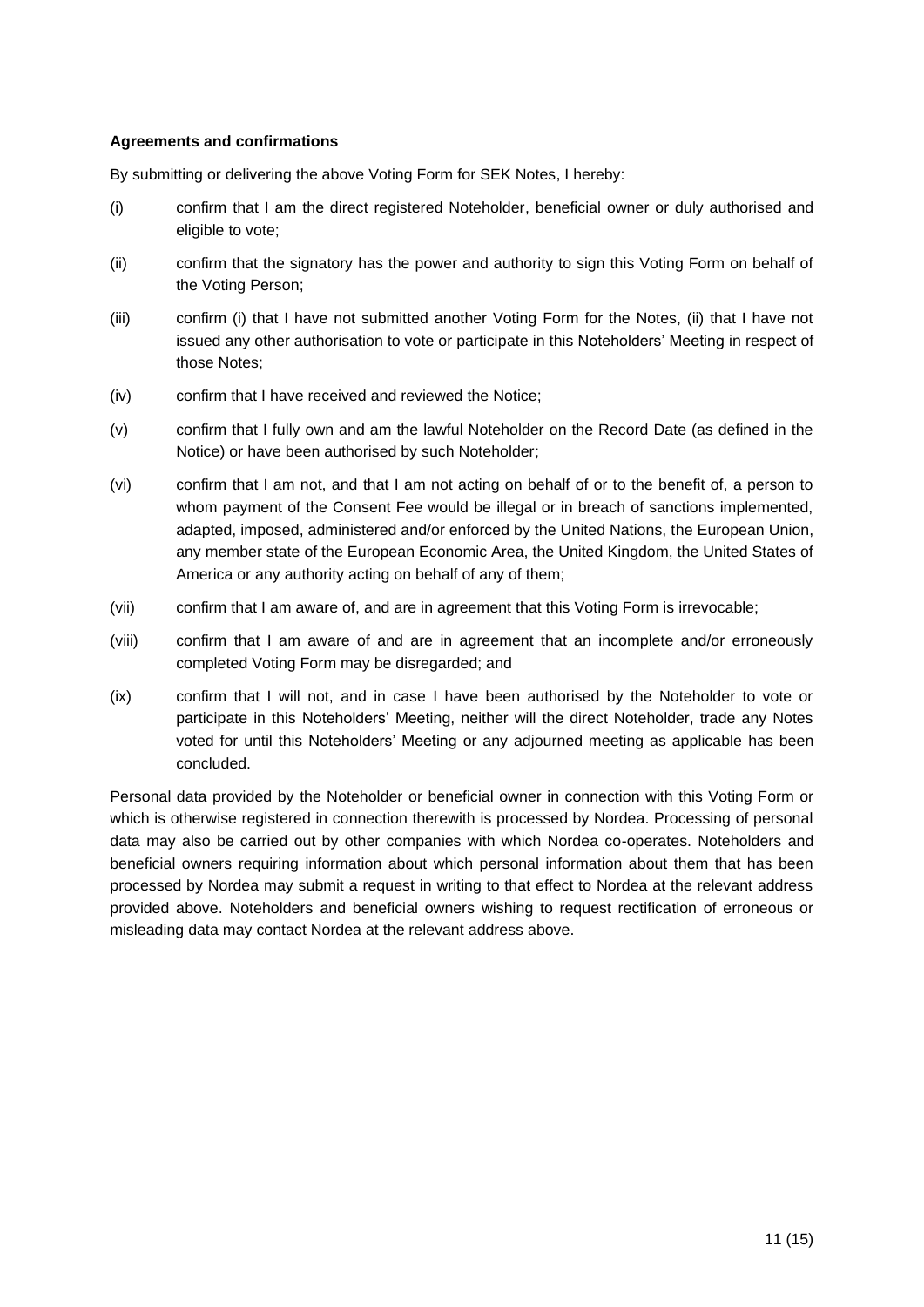# **Agreements and confirmations**

By submitting or delivering the above Voting Form for SEK Notes, I hereby:

- (i) confirm that I am the direct registered Noteholder, beneficial owner or duly authorised and eligible to vote;
- (ii) confirm that the signatory has the power and authority to sign this Voting Form on behalf of the Voting Person;
- (iii) confirm (i) that I have not submitted another Voting Form for the Notes, (ii) that I have not issued any other authorisation to vote or participate in this Noteholders' Meeting in respect of those Notes;
- (iv) confirm that I have received and reviewed the Notice;
- (v) confirm that I fully own and am the lawful Noteholder on the Record Date (as defined in the Notice) or have been authorised by such Noteholder;
- (vi) confirm that I am not, and that I am not acting on behalf of or to the benefit of, a person to whom payment of the Consent Fee would be illegal or in breach of sanctions implemented, adapted, imposed, administered and/or enforced by the United Nations, the European Union, any member state of the European Economic Area, the United Kingdom, the United States of America or any authority acting on behalf of any of them;
- (vii) confirm that I am aware of, and are in agreement that this Voting Form is irrevocable;
- (viii) confirm that I am aware of and are in agreement that an incomplete and/or erroneously completed Voting Form may be disregarded; and
- (ix) confirm that I will not, and in case I have been authorised by the Noteholder to vote or participate in this Noteholders' Meeting, neither will the direct Noteholder, trade any Notes voted for until this Noteholders' Meeting or any adjourned meeting as applicable has been concluded.

Personal data provided by the Noteholder or beneficial owner in connection with this Voting Form or which is otherwise registered in connection therewith is processed by Nordea. Processing of personal data may also be carried out by other companies with which Nordea co-operates. Noteholders and beneficial owners requiring information about which personal information about them that has been processed by Nordea may submit a request in writing to that effect to Nordea at the relevant address provided above. Noteholders and beneficial owners wishing to request rectification of erroneous or misleading data may contact Nordea at the relevant address above.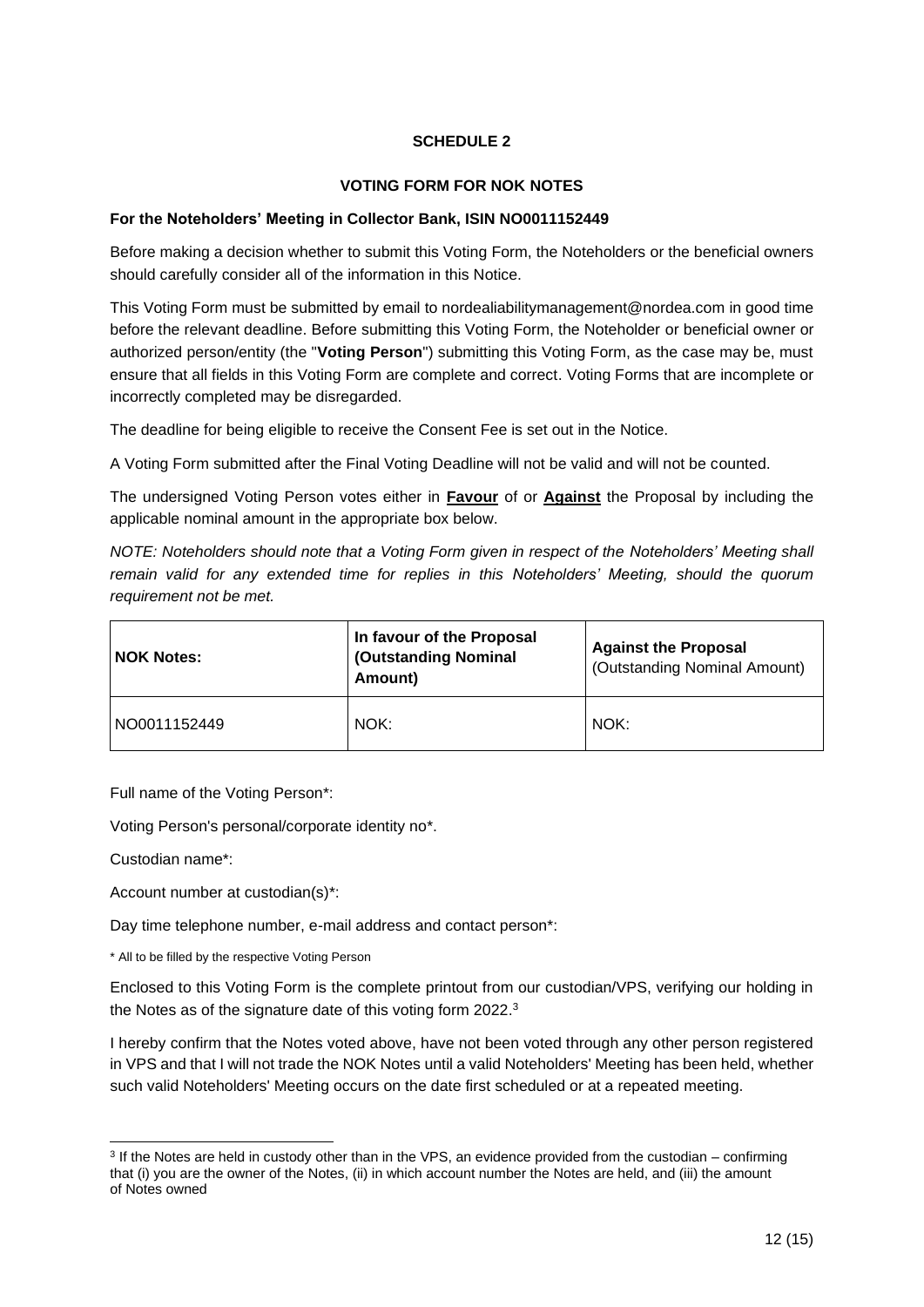# **SCHEDULE 2**

# **VOTING FORM FOR NOK NOTES**

## **For the Noteholders' Meeting in Collector Bank, ISIN NO0011152449**

Before making a decision whether to submit this Voting Form, the Noteholders or the beneficial owners should carefully consider all of the information in this Notice.

This Voting Form must be submitted by email to nordealiabilitymanagement@nordea.com in good time before the relevant deadline. Before submitting this Voting Form, the Noteholder or beneficial owner or authorized person/entity (the "**Voting Person**") submitting this Voting Form, as the case may be, must ensure that all fields in this Voting Form are complete and correct. Voting Forms that are incomplete or incorrectly completed may be disregarded.

The deadline for being eligible to receive the Consent Fee is set out in the Notice.

A Voting Form submitted after the Final Voting Deadline will not be valid and will not be counted.

The undersigned Voting Person votes either in **Favour** of or **Against** the Proposal by including the applicable nominal amount in the appropriate box below.

*NOTE: Noteholders should note that a Voting Form given in respect of the Noteholders' Meeting shall remain valid for any extended time for replies in this Noteholders' Meeting, should the quorum requirement not be met.*

| <b>NOK Notes:</b> | In favour of the Proposal<br>(Outstanding Nominal<br>Amount) | <b>Against the Proposal</b><br>(Outstanding Nominal Amount) |
|-------------------|--------------------------------------------------------------|-------------------------------------------------------------|
| NO0011152449      | NOK:                                                         | NOK:                                                        |

Full name of the Voting Person\*:

Voting Person's personal/corporate identity no\*.

Custodian name\*:

Account number at custodian(s)\*:

Day time telephone number, e-mail address and contact person\*:

\* All to be filled by the respective Voting Person

Enclosed to this Voting Form is the complete printout from our custodian/VPS, verifying our holding in the Notes as of the signature date of this voting form 2022.<sup>3</sup>

I hereby confirm that the Notes voted above, have not been voted through any other person registered in VPS and that I will not trade the NOK Notes until a valid Noteholders' Meeting has been held, whether such valid Noteholders' Meeting occurs on the date first scheduled or at a repeated meeting.

<sup>&</sup>lt;sup>3</sup> If the Notes are held in custody other than in the VPS, an evidence provided from the custodian – confirming that (i) you are the owner of the Notes, (ii) in which account number the Notes are held, and (iii) the amount of Notes owned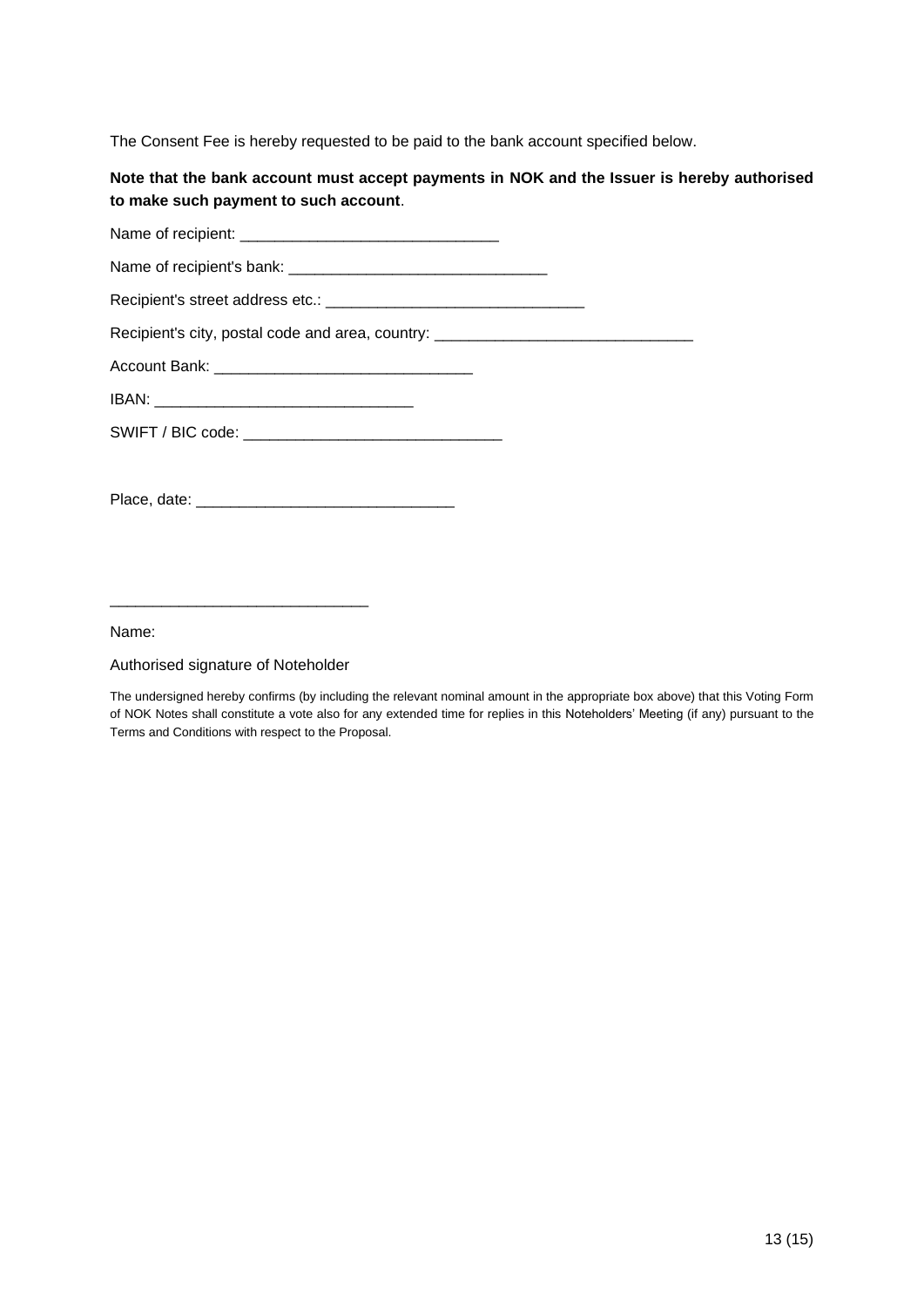The Consent Fee is hereby requested to be paid to the bank account specified below.

# **Note that the bank account must accept payments in NOK and the Issuer is hereby authorised to make such payment to such account**.

Name of recipient: Name of recipient's bank: \_\_\_\_\_\_\_\_\_\_\_\_\_\_\_\_\_\_\_\_\_\_\_\_\_\_\_\_\_\_ Recipient's street address etc.: \_\_\_\_\_\_\_\_\_\_\_\_\_\_\_\_\_\_\_\_\_\_\_\_\_\_\_\_\_\_ Recipient's city, postal code and area, country: \_\_\_\_\_\_\_\_\_\_\_\_\_\_\_\_\_\_\_\_\_\_\_\_\_\_\_\_\_\_\_ Account Bank: IBAN: \_\_\_\_\_\_\_\_\_\_\_\_\_\_\_\_\_\_\_\_\_\_\_\_\_\_\_\_\_\_ SWIFT / BIC code: \_\_\_\_\_\_\_\_\_\_\_\_\_\_\_\_\_\_\_\_\_\_\_\_\_\_\_\_\_\_ Place, date: \_\_\_\_\_\_\_\_\_\_\_\_\_\_\_\_\_\_\_\_\_\_\_\_\_\_\_\_\_\_

Name:

#### Authorised signature of Noteholder

\_\_\_\_\_\_\_\_\_\_\_\_\_\_\_\_\_\_\_\_\_\_\_\_\_\_\_\_\_\_

The undersigned hereby confirms (by including the relevant nominal amount in the appropriate box above) that this Voting Form of NOK Notes shall constitute a vote also for any extended time for replies in this Noteholders' Meeting (if any) pursuant to the Terms and Conditions with respect to the Proposal.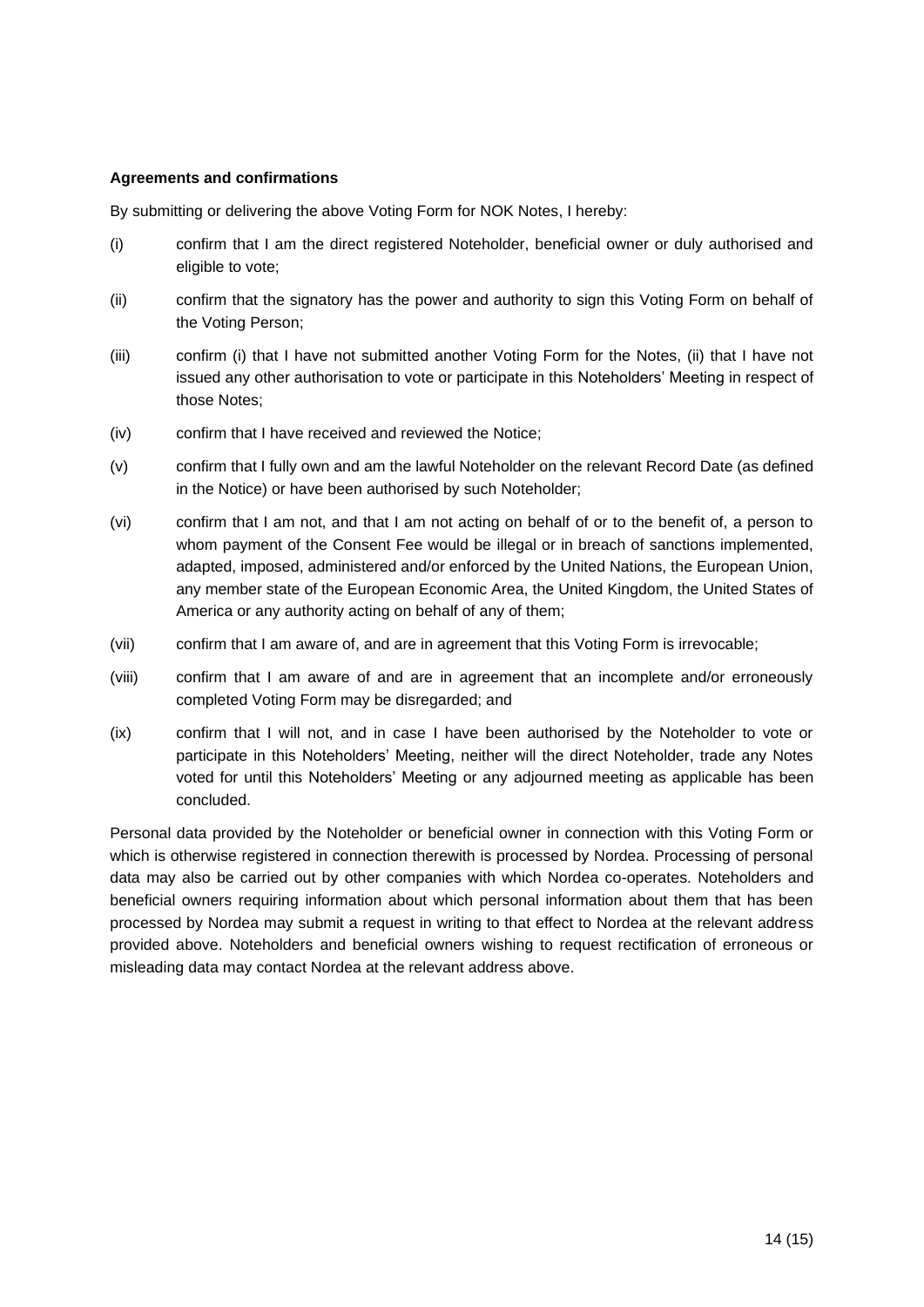### **Agreements and confirmations**

By submitting or delivering the above Voting Form for NOK Notes, I hereby:

- (i) confirm that I am the direct registered Noteholder, beneficial owner or duly authorised and eligible to vote;
- (ii) confirm that the signatory has the power and authority to sign this Voting Form on behalf of the Voting Person;
- (iii) confirm (i) that I have not submitted another Voting Form for the Notes, (ii) that I have not issued any other authorisation to vote or participate in this Noteholders' Meeting in respect of those Notes;
- (iv) confirm that I have received and reviewed the Notice;
- (v) confirm that I fully own and am the lawful Noteholder on the relevant Record Date (as defined in the Notice) or have been authorised by such Noteholder;
- (vi) confirm that I am not, and that I am not acting on behalf of or to the benefit of, a person to whom payment of the Consent Fee would be illegal or in breach of sanctions implemented. adapted, imposed, administered and/or enforced by the United Nations, the European Union, any member state of the European Economic Area, the United Kingdom, the United States of America or any authority acting on behalf of any of them;
- (vii) confirm that I am aware of, and are in agreement that this Voting Form is irrevocable;
- (viii) confirm that I am aware of and are in agreement that an incomplete and/or erroneously completed Voting Form may be disregarded; and
- (ix) confirm that I will not, and in case I have been authorised by the Noteholder to vote or participate in this Noteholders' Meeting, neither will the direct Noteholder, trade any Notes voted for until this Noteholders' Meeting or any adjourned meeting as applicable has been concluded.

Personal data provided by the Noteholder or beneficial owner in connection with this Voting Form or which is otherwise registered in connection therewith is processed by Nordea. Processing of personal data may also be carried out by other companies with which Nordea co-operates. Noteholders and beneficial owners requiring information about which personal information about them that has been processed by Nordea may submit a request in writing to that effect to Nordea at the relevant address provided above. Noteholders and beneficial owners wishing to request rectification of erroneous or misleading data may contact Nordea at the relevant address above.